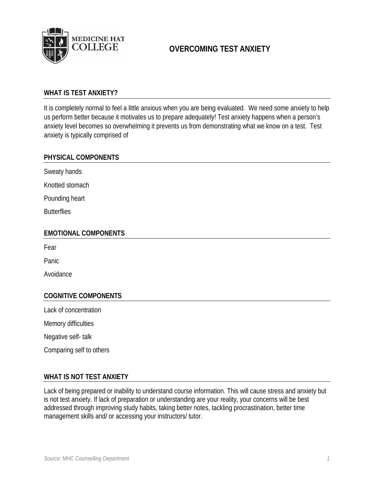

# **OVERCOMING TEST ANXIETY**

## **WHAT IS TEST ANXIETY?**

It is completely normal to feel a little anxious when you are being evaluated. We need some anxiety to help us perform better because it motivates us to prepare adequately! Test anxiety happens when a person's anxiety level becomes so overwhelming it prevents us from demonstrating what we know on a test. Test anxiety is typically comprised of

#### **PHYSICAL COMPONENTS**

Sweaty hands

Knotted stomach

Pounding heart

**Butterflies** 

#### **EMOTIONAL COMPONENTS**

Fear

Panic

Avoidance

## **COGNITIVE COMPONENTS**

Lack of concentration

Memory difficulties

Negative self- talk

Comparing self to others

#### **WHAT IS NOT TEST ANXIETY**

Lack of being prepared or inability to understand course information. This will cause stress and anxiety but is not test anxiety. If lack of preparation or understanding are your reality, your concerns will be best addressed through improving study habits, taking better notes, tackling procrastination, better time management skills and/ or accessing your instructors/ tutor.